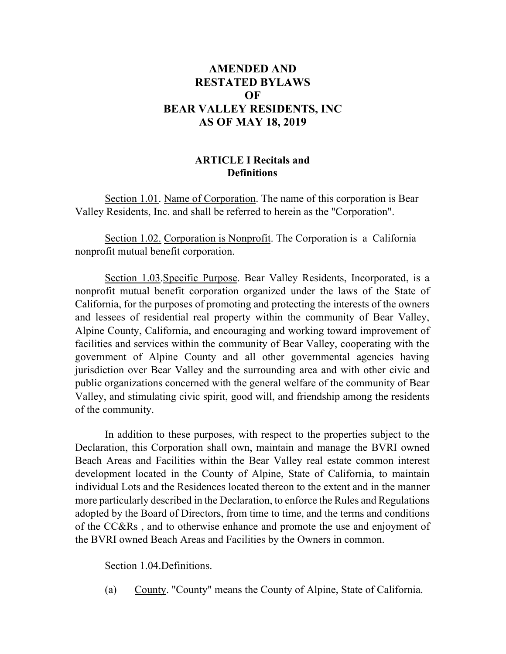# **AMENDED AND RESTATED BYLAWS OF BEAR VALLEY RESIDENTS, INC AS OF MAY 18, 2019**

## **ARTICLE I Recitals and Definitions**

Section 1.01. Name of Corporation. The name of this corporation is Bear Valley Residents, Inc. and shall be referred to herein as the "Corporation".

Section 1.02. Corporation is Nonprofit. The Corporation is a California nonprofit mutual benefit corporation.

Section 1.03.Specific Purpose. Bear Valley Residents, Incorporated, is a nonprofit mutual benefit corporation organized under the laws of the State of California, for the purposes of promoting and protecting the interests of the owners and lessees of residential real property within the community of Bear Valley, Alpine County, California, and encouraging and working toward improvement of facilities and services within the community of Bear Valley, cooperating with the government of Alpine County and all other governmental agencies having jurisdiction over Bear Valley and the surrounding area and with other civic and public organizations concerned with the general welfare of the community of Bear Valley, and stimulating civic spirit, good will, and friendship among the residents of the community.

In addition to these purposes, with respect to the properties subject to the Declaration, this Corporation shall own, maintain and manage the BVRI owned Beach Areas and Facilities within the Bear Valley real estate common interest development located in the County of Alpine, State of California, to maintain individual Lots and the Residences located thereon to the extent and in the manner more particularly described in the Declaration, to enforce the Rules and Regulations adopted by the Board of Directors, from time to time, and the terms and conditions of the CC&Rs , and to otherwise enhance and promote the use and enjoyment of the BVRI owned Beach Areas and Facilities by the Owners in common.

#### Section 1.04.Definitions.

(a) County. "County" means the County of Alpine, State of California.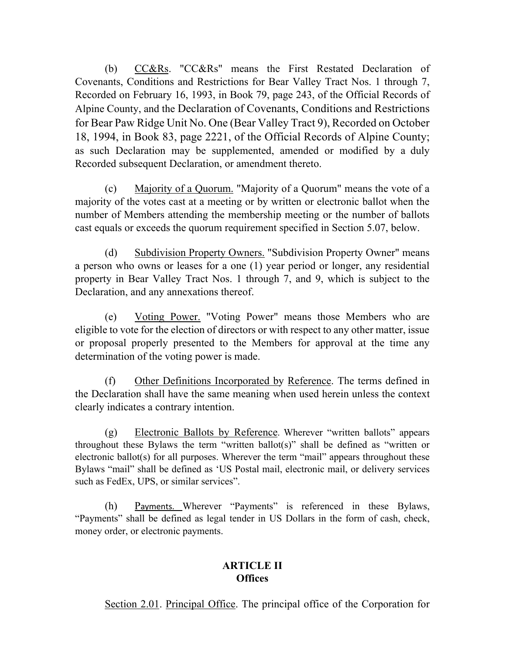(b) CC&Rs. "CC&Rs" means the First Restated Declaration of Covenants, Conditions and Restrictions for Bear Valley Tract Nos. 1 through 7, Recorded on February 16, 1993, in Book 79, page 243, of the Official Records of Alpine County, and the Declaration of Covenants, Conditions and Restrictions for Bear Paw Ridge Unit No. One (Bear Valley Tract 9), Recorded on October 18, 1994, in Book 83, page 2221, of the Official Records of Alpine County; as such Declaration may be supplemented, amended or modified by a duly Recorded subsequent Declaration, or amendment thereto.

(c) Majority of a Quorum. "Majority of a Quorum" means the vote of a majority of the votes cast at a meeting or by written or electronic ballot when the number of Members attending the membership meeting or the number of ballots cast equals or exceeds the quorum requirement specified in Section 5.07, below.

(d) Subdivision Property Owners. "Subdivision Property Owner" means a person who owns or leases for a one (1) year period or longer, any residential property in Bear Valley Tract Nos. 1 through 7, and 9, which is subject to the Declaration, and any annexations thereof.

(e) Voting Power. "Voting Power" means those Members who are eligible to vote for the election of directors or with respect to any other matter, issue or proposal properly presented to the Members for approval at the time any determination of the voting power is made.

(f) Other Definitions Incorporated by Reference. The terms defined in the Declaration shall have the same meaning when used herein unless the context clearly indicates a contrary intention.

(g) Electronic Ballots by Reference. Wherever "written ballots" appears throughout these Bylaws the term "written ballot(s)" shall be defined as "written or electronic ballot(s) for all purposes. Wherever the term "mail" appears throughout these Bylaws "mail" shall be defined as 'US Postal mail, electronic mail, or delivery services such as FedEx, UPS, or similar services".

(h) Payments. Wherever "Payments" is referenced in these Bylaws, "Payments" shall be defined as legal tender in US Dollars in the form of cash, check, money order, or electronic payments.

## **ARTICLE II Offices**

Section 2.01. Principal Office. The principal office of the Corporation for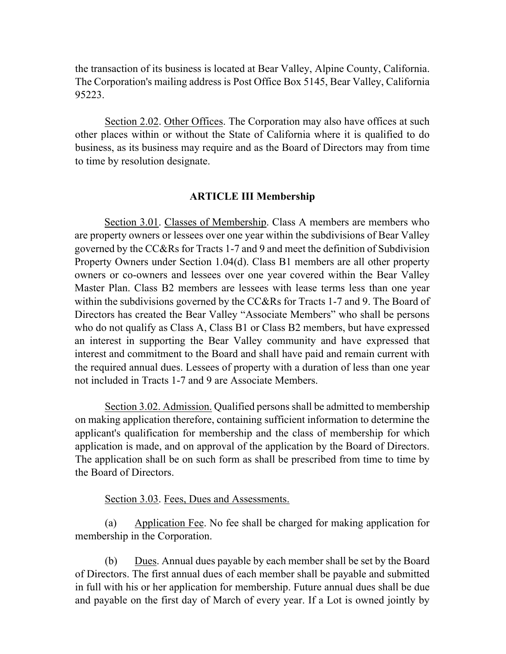the transaction of its business is located at Bear Valley, Alpine County, California. The Corporation's mailing address is Post Office Box 5145, Bear Valley, California 95223.

Section 2.02. Other Offices. The Corporation may also have offices at such other places within or without the State of California where it is qualified to do business, as its business may require and as the Board of Directors may from time to time by resolution designate.

#### **ARTICLE III Membership**

Section 3.01. Classes of Membership. Class A members are members who are property owners or lessees over one year within the subdivisions of Bear Valley governed by the CC&Rs for Tracts 1-7 and 9 and meet the definition of Subdivision Property Owners under Section 1.04(d). Class B1 members are all other property owners or co-owners and lessees over one year covered within the Bear Valley Master Plan. Class B2 members are lessees with lease terms less than one year within the subdivisions governed by the CC&Rs for Tracts 1-7 and 9. The Board of Directors has created the Bear Valley "Associate Members" who shall be persons who do not qualify as Class A, Class B1 or Class B2 members, but have expressed an interest in supporting the Bear Valley community and have expressed that interest and commitment to the Board and shall have paid and remain current with the required annual dues. Lessees of property with a duration of less than one year not included in Tracts 1-7 and 9 are Associate Members.

Section 3.02. Admission. Qualified persons shall be admitted to membership on making application therefore, containing sufficient information to determine the applicant's qualification for membership and the class of membership for which application is made, and on approval of the application by the Board of Directors. The application shall be on such form as shall be prescribed from time to time by the Board of Directors.

#### Section 3.03. Fees, Dues and Assessments.

(a) Application Fee. No fee shall be charged for making application for membership in the Corporation.

(b) Dues. Annual dues payable by each member shall be set by the Board of Directors. The first annual dues of each member shall be payable and submitted in full with his or her application for membership. Future annual dues shall be due and payable on the first day of March of every year. If a Lot is owned jointly by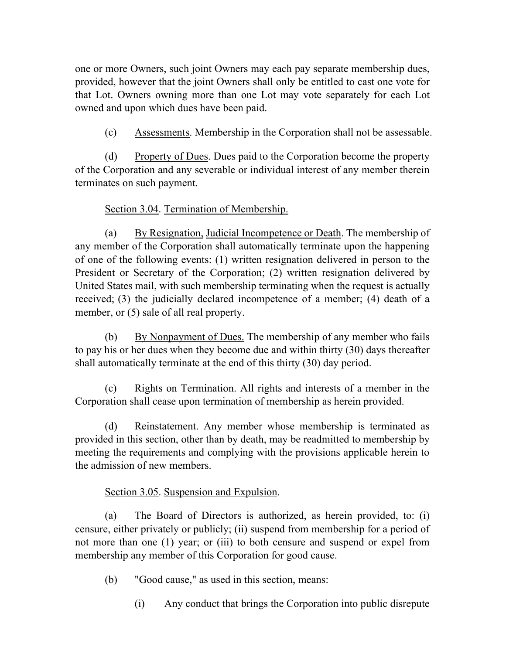one or more Owners, such joint Owners may each pay separate membership dues, provided, however that the joint Owners shall only be entitled to cast one vote for that Lot. Owners owning more than one Lot may vote separately for each Lot owned and upon which dues have been paid.

(c) Assessments. Membership in the Corporation shall not be assessable.

(d) Property of Dues. Dues paid to the Corporation become the property of the Corporation and any severable or individual interest of any member therein terminates on such payment.

# Section 3.04. Termination of Membership.

(a) By Resignation, Judicial Incompetence or Death. The membership of any member of the Corporation shall automatically terminate upon the happening of one of the following events: (1) written resignation delivered in person to the President or Secretary of the Corporation; (2) written resignation delivered by United States mail, with such membership terminating when the request is actually received; (3) the judicially declared incompetence of a member; (4) death of a member, or  $(5)$  sale of all real property.

(b) By Nonpayment of Dues. The membership of any member who fails to pay his or her dues when they become due and within thirty (30) days thereafter shall automatically terminate at the end of this thirty (30) day period.

(c) Rights on Termination. All rights and interests of a member in the Corporation shall cease upon termination of membership as herein provided.

(d) Reinstatement. Any member whose membership is terminated as provided in this section, other than by death, may be readmitted to membership by meeting the requirements and complying with the provisions applicable herein to the admission of new members.

Section 3.05. Suspension and Expulsion.

(a) The Board of Directors is authorized, as herein provided, to: (i) censure, either privately or publicly; (ii) suspend from membership for a period of not more than one (1) year; or (iii) to both censure and suspend or expel from membership any member of this Corporation for good cause.

(b) "Good cause," as used in this section, means:

(i) Any conduct that brings the Corporation into public disrepute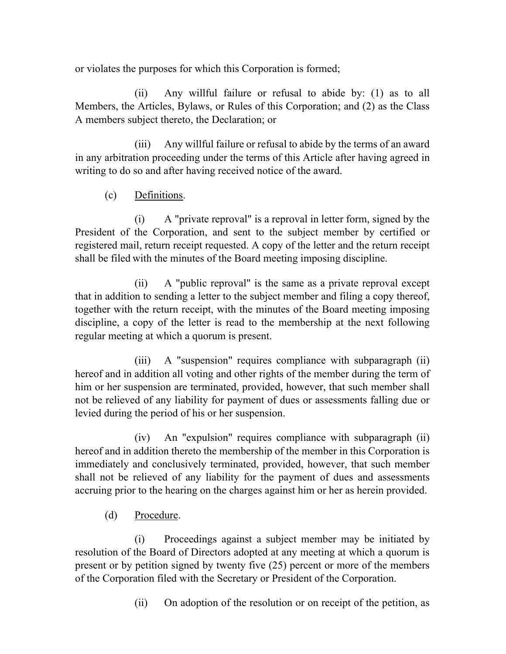or violates the purposes for which this Corporation is formed;

(ii) Any willful failure or refusal to abide by: (1) as to all Members, the Articles, Bylaws, or Rules of this Corporation; and (2) as the Class A members subject thereto, the Declaration; or

(iii) Any willful failure or refusal to abide by the terms of an award in any arbitration proceeding under the terms of this Article after having agreed in writing to do so and after having received notice of the award.

(c) Definitions.

(i) A "private reproval" is a reproval in letter form, signed by the President of the Corporation, and sent to the subject member by certified or registered mail, return receipt requested. A copy of the letter and the return receipt shall be filed with the minutes of the Board meeting imposing discipline.

(ii) A "public reproval" is the same as a private reproval except that in addition to sending a letter to the subject member and filing a copy thereof, together with the return receipt, with the minutes of the Board meeting imposing discipline, a copy of the letter is read to the membership at the next following regular meeting at which a quorum is present.

(iii) A "suspension" requires compliance with subparagraph (ii) hereof and in addition all voting and other rights of the member during the term of him or her suspension are terminated, provided, however, that such member shall not be relieved of any liability for payment of dues or assessments falling due or levied during the period of his or her suspension.

(iv) An "expulsion" requires compliance with subparagraph (ii) hereof and in addition thereto the membership of the member in this Corporation is immediately and conclusively terminated, provided, however, that such member shall not be relieved of any liability for the payment of dues and assessments accruing prior to the hearing on the charges against him or her as herein provided.

(d) Procedure.

(i) Proceedings against a subject member may be initiated by resolution of the Board of Directors adopted at any meeting at which a quorum is present or by petition signed by twenty five (25) percent or more of the members of the Corporation filed with the Secretary or President of the Corporation.

(ii) On adoption of the resolution or on receipt of the petition, as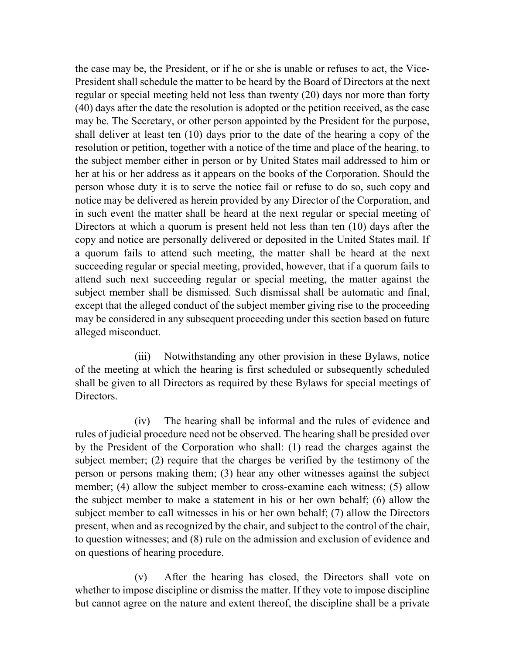the case may be, the President, or if he or she is unable or refuses to act, the Vice-President shall schedule the matter to be heard by the Board of Directors at the next regular or special meeting held not less than twenty (20) days nor more than forty (40) days after the date the resolution is adopted or the petition received, as the case may be. The Secretary, or other person appointed by the President for the purpose, shall deliver at least ten (10) days prior to the date of the hearing a copy of the resolution or petition, together with a notice of the time and place of the hearing, to the subject member either in person or by United States mail addressed to him or her at his or her address as it appears on the books of the Corporation. Should the person whose duty it is to serve the notice fail or refuse to do so, such copy and notice may be delivered as herein provided by any Director of the Corporation, and in such event the matter shall be heard at the next regular or special meeting of Directors at which a quorum is present held not less than ten (10) days after the copy and notice are personally delivered or deposited in the United States mail. If a quorum fails to attend such meeting, the matter shall be heard at the next succeeding regular or special meeting, provided, however, that if a quorum fails to attend such next succeeding regular or special meeting, the matter against the subject member shall be dismissed. Such dismissal shall be automatic and final, except that the alleged conduct of the subject member giving rise to the proceeding may be considered in any subsequent proceeding under this section based on future alleged misconduct.

(iii) Notwithstanding any other provision in these Bylaws, notice of the meeting at which the hearing is first scheduled or subsequently scheduled shall be given to all Directors as required by these Bylaws for special meetings of Directors.

(iv) The hearing shall be informal and the rules of evidence and rules of judicial procedure need not be observed. The hearing shall be presided over by the President of the Corporation who shall: (1) read the charges against the subject member; (2) require that the charges be verified by the testimony of the person or persons making them; (3) hear any other witnesses against the subject member; (4) allow the subject member to cross-examine each witness; (5) allow the subject member to make a statement in his or her own behalf; (6) allow the subject member to call witnesses in his or her own behalf; (7) allow the Directors present, when and as recognized by the chair, and subject to the control of the chair, to question witnesses; and (8) rule on the admission and exclusion of evidence and on questions of hearing procedure.

(v) After the hearing has closed, the Directors shall vote on whether to impose discipline or dismiss the matter. If they vote to impose discipline but cannot agree on the nature and extent thereof, the discipline shall be a private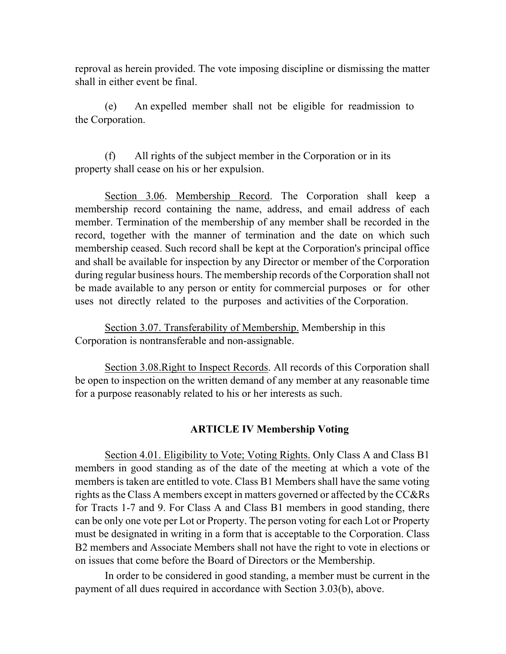reproval as herein provided. The vote imposing discipline or dismissing the matter shall in either event be final.

(e) An expelled member shall not be eligible for readmission to the Corporation.

(f) All rights of the subject member in the Corporation or in its property shall cease on his or her expulsion.

Section 3.06. Membership Record. The Corporation shall keep a membership record containing the name, address, and email address of each member. Termination of the membership of any member shall be recorded in the record, together with the manner of termination and the date on which such membership ceased. Such record shall be kept at the Corporation's principal office and shall be available for inspection by any Director or member of the Corporation during regular business hours. The membership records of the Corporation shall not be made available to any person or entity for commercial purposes or for other uses not directly related to the purposes and activities of the Corporation.

Section 3.07. Transferability of Membership. Membership in this Corporation is nontransferable and non-assignable.

Section 3.08.Right to Inspect Records. All records of this Corporation shall be open to inspection on the written demand of any member at any reasonable time for a purpose reasonably related to his or her interests as such.

### **ARTICLE IV Membership Voting**

Section 4.01. Eligibility to Vote; Voting Rights. Only Class A and Class B1 members in good standing as of the date of the meeting at which a vote of the members is taken are entitled to vote. Class B1 Members shall have the same voting rights as the Class A members except in matters governed or affected by the CC&Rs for Tracts 1-7 and 9. For Class A and Class B1 members in good standing, there can be only one vote per Lot or Property. The person voting for each Lot or Property must be designated in writing in a form that is acceptable to the Corporation. Class B2 members and Associate Members shall not have the right to vote in elections or on issues that come before the Board of Directors or the Membership.

In order to be considered in good standing, a member must be current in the payment of all dues required in accordance with Section 3.03(b), above.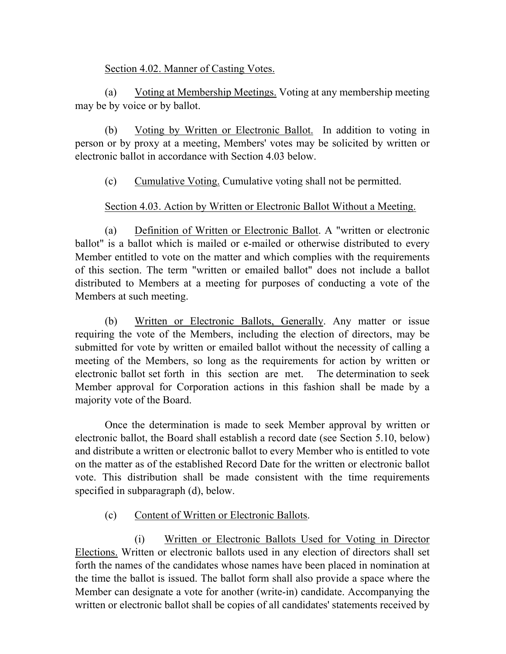## Section 4.02. Manner of Casting Votes.

(a) Voting at Membership Meetings. Voting at any membership meeting may be by voice or by ballot.

(b) Voting by Written or Electronic Ballot. In addition to voting in person or by proxy at a meeting, Members' votes may be solicited by written or electronic ballot in accordance with Section 4.03 below.

(c) Cumulative Voting. Cumulative voting shall not be permitted.

## Section 4.03. Action by Written or Electronic Ballot Without a Meeting.

(a) Definition of Written or Electronic Ballot. A "written or electronic ballot" is a ballot which is mailed or e-mailed or otherwise distributed to every Member entitled to vote on the matter and which complies with the requirements of this section. The term "written or emailed ballot" does not include a ballot distributed to Members at a meeting for purposes of conducting a vote of the Members at such meeting.

(b) Written or Electronic Ballots, Generally. Any matter or issue requiring the vote of the Members, including the election of directors, may be submitted for vote by written or emailed ballot without the necessity of calling a meeting of the Members, so long as the requirements for action by written or electronic ballot set forth in this section are met. The determination to seek Member approval for Corporation actions in this fashion shall be made by a majority vote of the Board.

Once the determination is made to seek Member approval by written or electronic ballot, the Board shall establish a record date (see Section 5.10, below) and distribute a written or electronic ballot to every Member who is entitled to vote on the matter as of the established Record Date for the written or electronic ballot vote. This distribution shall be made consistent with the time requirements specified in subparagraph (d), below.

# (c) Content of Written or Electronic Ballots.

(i) Written or Electronic Ballots Used for Voting in Director Elections. Written or electronic ballots used in any election of directors shall set forth the names of the candidates whose names have been placed in nomination at the time the ballot is issued. The ballot form shall also provide a space where the Member can designate a vote for another (write-in) candidate. Accompanying the written or electronic ballot shall be copies of all candidates' statements received by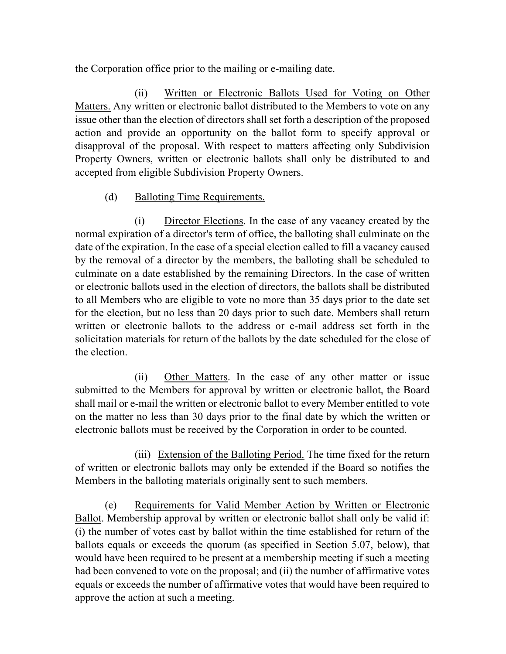the Corporation office prior to the mailing or e-mailing date.

(ii) Written or Electronic Ballots Used for Voting on Other Matters. Any written or electronic ballot distributed to the Members to vote on any issue other than the election of directors shall set forth a description of the proposed action and provide an opportunity on the ballot form to specify approval or disapproval of the proposal. With respect to matters affecting only Subdivision Property Owners, written or electronic ballots shall only be distributed to and accepted from eligible Subdivision Property Owners.

## (d) Balloting Time Requirements.

(i) Director Elections. In the case of any vacancy created by the normal expiration of a director's term of office, the balloting shall culminate on the date of the expiration. In the case of a special election called to fill a vacancy caused by the removal of a director by the members, the balloting shall be scheduled to culminate on a date established by the remaining Directors. In the case of written or electronic ballots used in the election of directors, the ballots shall be distributed to all Members who are eligible to vote no more than 35 days prior to the date set for the election, but no less than 20 days prior to such date. Members shall return written or electronic ballots to the address or e-mail address set forth in the solicitation materials for return of the ballots by the date scheduled for the close of the election.

(ii) Other Matters. In the case of any other matter or issue submitted to the Members for approval by written or electronic ballot, the Board shall mail or e-mail the written or electronic ballot to every Member entitled to vote on the matter no less than 30 days prior to the final date by which the written or electronic ballots must be received by the Corporation in order to be counted.

(iii) Extension of the Balloting Period. The time fixed for the return of written or electronic ballots may only be extended if the Board so notifies the Members in the balloting materials originally sent to such members.

(e) Requirements for Valid Member Action by Written or Electronic Ballot. Membership approval by written or electronic ballot shall only be valid if: (i) the number of votes cast by ballot within the time established for return of the ballots equals or exceeds the quorum (as specified in Section 5.07, below), that would have been required to be present at a membership meeting if such a meeting had been convened to vote on the proposal; and (ii) the number of affirmative votes equals or exceeds the number of affirmative votes that would have been required to approve the action at such a meeting.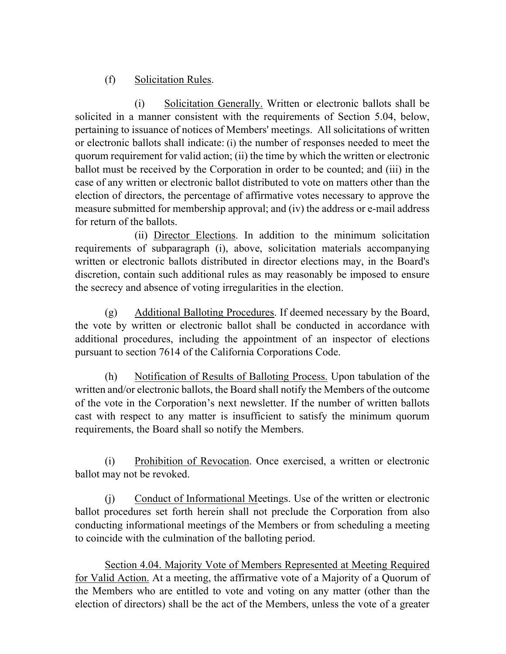# (f) Solicitation Rules.

(i) Solicitation Generally. Written or electronic ballots shall be solicited in a manner consistent with the requirements of Section 5.04, below, pertaining to issuance of notices of Members' meetings. All solicitations of written or electronic ballots shall indicate: (i) the number of responses needed to meet the quorum requirement for valid action; (ii) the time by which the written or electronic ballot must be received by the Corporation in order to be counted; and (iii) in the case of any written or electronic ballot distributed to vote on matters other than the election of directors, the percentage of affirmative votes necessary to approve the measure submitted for membership approval; and (iv) the address or e-mail address for return of the ballots.

(ii) Director Elections. In addition to the minimum solicitation requirements of subparagraph (i), above, solicitation materials accompanying written or electronic ballots distributed in director elections may, in the Board's discretion, contain such additional rules as may reasonably be imposed to ensure the secrecy and absence of voting irregularities in the election.

(g) Additional Balloting Procedures. If deemed necessary by the Board, the vote by written or electronic ballot shall be conducted in accordance with additional procedures, including the appointment of an inspector of elections pursuant to section 7614 of the California Corporations Code.

(h) Notification of Results of Balloting Process. Upon tabulation of the written and/or electronic ballots, the Board shall notify the Members of the outcome of the vote in the Corporation's next newsletter. If the number of written ballots cast with respect to any matter is insufficient to satisfy the minimum quorum requirements, the Board shall so notify the Members.

(i) Prohibition of Revocation. Once exercised, a written or electronic ballot may not be revoked.

(j) Conduct of Informational Meetings. Use of the written or electronic ballot procedures set forth herein shall not preclude the Corporation from also conducting informational meetings of the Members or from scheduling a meeting to coincide with the culmination of the balloting period.

Section 4.04. Majority Vote of Members Represented at Meeting Required for Valid Action. At a meeting, the affirmative vote of a Majority of a Quorum of the Members who are entitled to vote and voting on any matter (other than the election of directors) shall be the act of the Members, unless the vote of a greater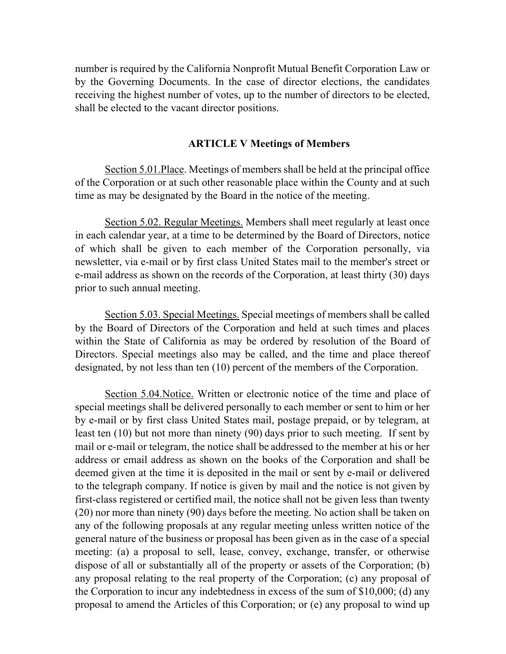number is required by the California Nonprofit Mutual Benefit Corporation Law or by the Governing Documents. In the case of director elections, the candidates receiving the highest number of votes, up to the number of directors to be elected, shall be elected to the vacant director positions.

### **ARTICLE V Meetings of Members**

Section 5.01.Place. Meetings of members shall be held at the principal office of the Corporation or at such other reasonable place within the County and at such time as may be designated by the Board in the notice of the meeting.

Section 5.02. Regular Meetings. Members shall meet regularly at least once in each calendar year, at a time to be determined by the Board of Directors, notice of which shall be given to each member of the Corporation personally, via newsletter, via e-mail or by first class United States mail to the member's street or e-mail address as shown on the records of the Corporation, at least thirty (30) days prior to such annual meeting.

Section 5.03. Special Meetings. Special meetings of members shall be called by the Board of Directors of the Corporation and held at such times and places within the State of California as may be ordered by resolution of the Board of Directors. Special meetings also may be called, and the time and place thereof designated, by not less than ten (10) percent of the members of the Corporation.

Section 5.04.Notice. Written or electronic notice of the time and place of special meetings shall be delivered personally to each member or sent to him or her by e-mail or by first class United States mail, postage prepaid, or by telegram, at least ten (10) but not more than ninety (90) days prior to such meeting. If sent by mail or e-mail or telegram, the notice shall be addressed to the member at his or her address or email address as shown on the books of the Corporation and shall be deemed given at the time it is deposited in the mail or sent by e-mail or delivered to the telegraph company. If notice is given by mail and the notice is not given by first-class registered or certified mail, the notice shall not be given less than twenty (20) nor more than ninety (90) days before the meeting. No action shall be taken on any of the following proposals at any regular meeting unless written notice of the general nature of the business or proposal has been given as in the case of a special meeting: (a) a proposal to sell, lease, convey, exchange, transfer, or otherwise dispose of all or substantially all of the property or assets of the Corporation; (b) any proposal relating to the real property of the Corporation; (c) any proposal of the Corporation to incur any indebtedness in excess of the sum of \$10,000; (d) any proposal to amend the Articles of this Corporation; or (e) any proposal to wind up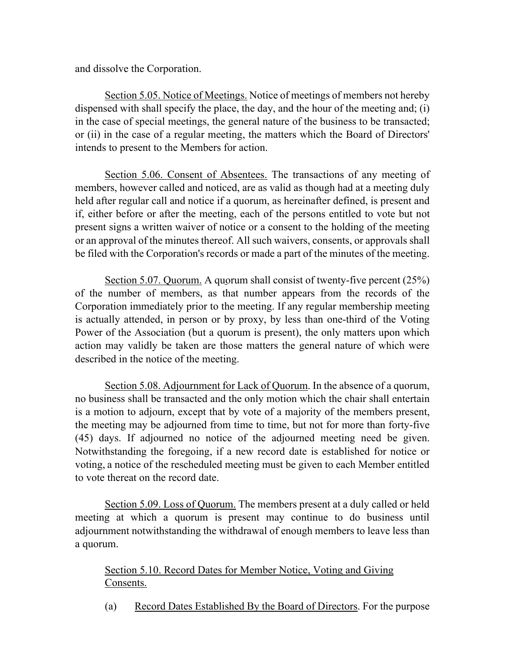and dissolve the Corporation.

Section 5.05. Notice of Meetings. Notice of meetings of members not hereby dispensed with shall specify the place, the day, and the hour of the meeting and; (i) in the case of special meetings, the general nature of the business to be transacted; or (ii) in the case of a regular meeting, the matters which the Board of Directors' intends to present to the Members for action.

Section 5.06. Consent of Absentees. The transactions of any meeting of members, however called and noticed, are as valid as though had at a meeting duly held after regular call and notice if a quorum, as hereinafter defined, is present and if, either before or after the meeting, each of the persons entitled to vote but not present signs a written waiver of notice or a consent to the holding of the meeting or an approval of the minutes thereof. All such waivers, consents, or approvals shall be filed with the Corporation's records or made a part of the minutes of the meeting.

Section 5.07. Quorum. A quorum shall consist of twenty-five percent (25%) of the number of members, as that number appears from the records of the Corporation immediately prior to the meeting. If any regular membership meeting is actually attended, in person or by proxy, by less than one-third of the Voting Power of the Association (but a quorum is present), the only matters upon which action may validly be taken are those matters the general nature of which were described in the notice of the meeting.

Section 5.08. Adjournment for Lack of Quorum. In the absence of a quorum, no business shall be transacted and the only motion which the chair shall entertain is a motion to adjourn, except that by vote of a majority of the members present, the meeting may be adjourned from time to time, but not for more than forty-five (45) days. If adjourned no notice of the adjourned meeting need be given. Notwithstanding the foregoing, if a new record date is established for notice or voting, a notice of the rescheduled meeting must be given to each Member entitled to vote thereat on the record date.

Section 5.09. Loss of Quorum. The members present at a duly called or held meeting at which a quorum is present may continue to do business until adjournment notwithstanding the withdrawal of enough members to leave less than a quorum.

# Section 5.10. Record Dates for Member Notice, Voting and Giving Consents.

(a) Record Dates Established By the Board of Directors. For the purpose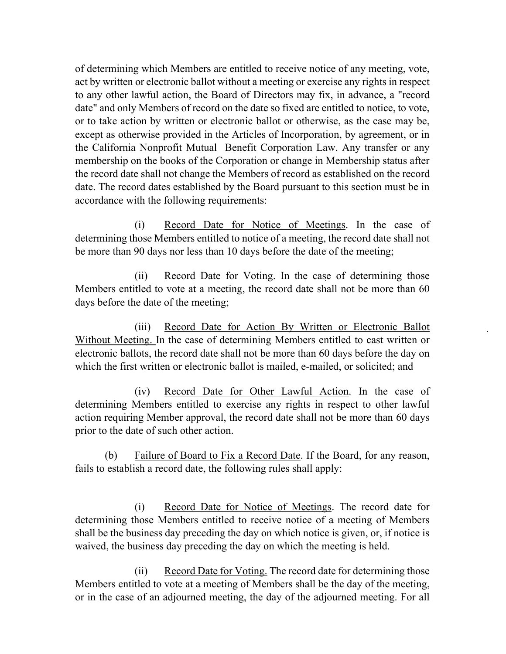of determining which Members are entitled to receive notice of any meeting, vote, act by written or electronic ballot without a meeting or exercise any rights in respect to any other lawful action, the Board of Directors may fix, in advance, a "record date" and only Members of record on the date so fixed are entitled to notice, to vote, or to take action by written or electronic ballot or otherwise, as the case may be, except as otherwise provided in the Articles of Incorporation, by agreement, or in the California Nonprofit Mutual Benefit Corporation Law. Any transfer or any membership on the books of the Corporation or change in Membership status after the record date shall not change the Members of record as established on the record date. The record dates established by the Board pursuant to this section must be in accordance with the following requirements:

(i) Record Date for Notice of Meetings. In the case of determining those Members entitled to notice of a meeting, the record date shall not be more than 90 days nor less than 10 days before the date of the meeting;

(ii) Record Date for Voting. In the case of determining those Members entitled to vote at a meeting, the record date shall not be more than 60 days before the date of the meeting;

(iii) Record Date for Action By Written or Electronic Ballot Without Meeting. In the case of determining Members entitled to cast written or electronic ballots, the record date shall not be more than 60 days before the day on which the first written or electronic ballot is mailed, e-mailed, or solicited; and

(iv) Record Date for Other Lawful Action. In the case of determining Members entitled to exercise any rights in respect to other lawful action requiring Member approval, the record date shall not be more than 60 days prior to the date of such other action.

(b) Failure of Board to Fix a Record Date. If the Board, for any reason, fails to establish a record date, the following rules shall apply:

(i) Record Date for Notice of Meetings. The record date for determining those Members entitled to receive notice of a meeting of Members shall be the business day preceding the day on which notice is given, or, if notice is waived, the business day preceding the day on which the meeting is held.

(ii) Record Date for Voting. The record date for determining those Members entitled to vote at a meeting of Members shall be the day of the meeting, or in the case of an adjourned meeting, the day of the adjourned meeting. For all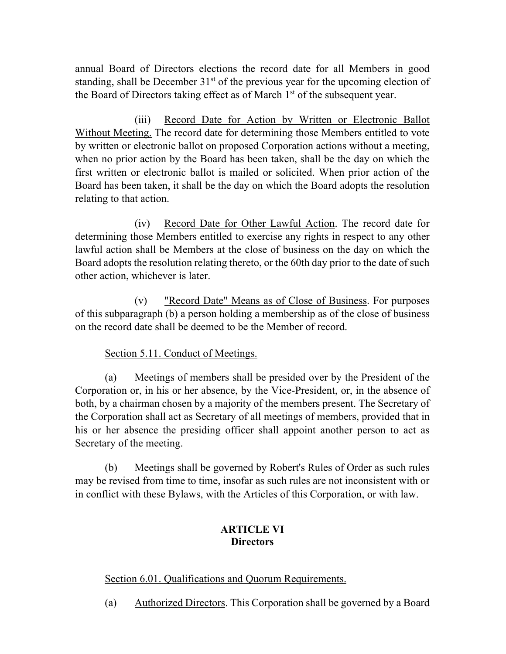annual Board of Directors elections the record date for all Members in good standing, shall be December  $31<sup>st</sup>$  of the previous year for the upcoming election of the Board of Directors taking effect as of March  $1<sup>st</sup>$  of the subsequent year.

(iii) Record Date for Action by Written or Electronic Ballot Without Meeting. The record date for determining those Members entitled to vote by written or electronic ballot on proposed Corporation actions without a meeting, when no prior action by the Board has been taken, shall be the day on which the first written or electronic ballot is mailed or solicited. When prior action of the Board has been taken, it shall be the day on which the Board adopts the resolution relating to that action.

(iv) Record Date for Other Lawful Action. The record date for determining those Members entitled to exercise any rights in respect to any other lawful action shall be Members at the close of business on the day on which the Board adopts the resolution relating thereto, or the 60th day prior to the date of such other action, whichever is later.

(v) "Record Date" Means as of Close of Business. For purposes of this subparagraph (b) a person holding a membership as of the close of business on the record date shall be deemed to be the Member of record.

### Section 5.11. Conduct of Meetings.

(a) Meetings of members shall be presided over by the President of the Corporation or, in his or her absence, by the Vice-President, or, in the absence of both, by a chairman chosen by a majority of the members present. The Secretary of the Corporation shall act as Secretary of all meetings of members, provided that in his or her absence the presiding officer shall appoint another person to act as Secretary of the meeting.

(b) Meetings shall be governed by Robert's Rules of Order as such rules may be revised from time to time, insofar as such rules are not inconsistent with or in conflict with these Bylaws, with the Articles of this Corporation, or with law.

#### **ARTICLE VI Directors**

#### Section 6.01. Qualifications and Quorum Requirements.

(a) Authorized Directors. This Corporation shall be governed by a Board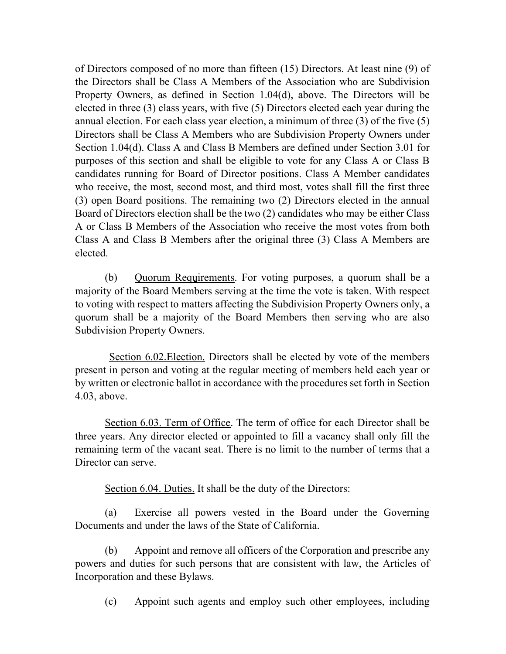of Directors composed of no more than fifteen (15) Directors. At least nine (9) of the Directors shall be Class A Members of the Association who are Subdivision Property Owners, as defined in Section 1.04(d), above. The Directors will be elected in three (3) class years, with five (5) Directors elected each year during the annual election. For each class year election, a minimum of three (3) of the five (5) Directors shall be Class A Members who are Subdivision Property Owners under Section 1.04(d). Class A and Class B Members are defined under Section 3.01 for purposes of this section and shall be eligible to vote for any Class A or Class B candidates running for Board of Director positions. Class A Member candidates who receive, the most, second most, and third most, votes shall fill the first three (3) open Board positions. The remaining two (2) Directors elected in the annual Board of Directors election shall be the two (2) candidates who may be either Class A or Class B Members of the Association who receive the most votes from both Class A and Class B Members after the original three (3) Class A Members are elected.

(b) Quorum Requirements. For voting purposes, a quorum shall be a majority of the Board Members serving at the time the vote is taken. With respect to voting with respect to matters affecting the Subdivision Property Owners only, a quorum shall be a majority of the Board Members then serving who are also Subdivision Property Owners.

Section 6.02.Election. Directors shall be elected by vote of the members present in person and voting at the regular meeting of members held each year or by written or electronic ballot in accordance with the procedures set forth in Section 4.03, above.

Section 6.03. Term of Office. The term of office for each Director shall be three years. Any director elected or appointed to fill a vacancy shall only fill the remaining term of the vacant seat. There is no limit to the number of terms that a Director can serve.

Section 6.04. Duties. It shall be the duty of the Directors:

(a) Exercise all powers vested in the Board under the Governing Documents and under the laws of the State of California.

(b) Appoint and remove all officers of the Corporation and prescribe any powers and duties for such persons that are consistent with law, the Articles of Incorporation and these Bylaws.

(c) Appoint such agents and employ such other employees, including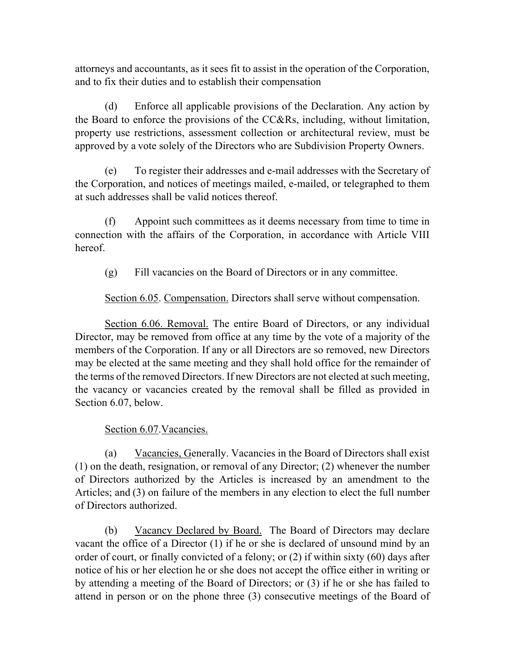attorneys and accountants, as it sees fit to assist in the operation of the Corporation, and to fix their duties and to establish their compensation

(d) Enforce all applicable provisions of the Declaration. Any action by the Board to enforce the provisions of the CC&Rs, including, without limitation, property use restrictions, assessment collection or architectural review, must be approved by a vote solely of the Directors who are Subdivision Property Owners.

(e) To register their addresses and e-mail addresses with the Secretary of the Corporation, and notices of meetings mailed, e-mailed, or telegraphed to them at such addresses shall be valid notices thereof.

(f) Appoint such committees as it deems necessary from time to time in connection with the affairs of the Corporation, in accordance with Article VIII hereof.

(g) Fill vacancies on the Board of Directors or in any committee.

Section 6.05. Compensation. Directors shall serve without compensation.

Section 6.06. Removal. The entire Board of Directors, or any individual Director, may be removed from office at any time by the vote of a majority of the members of the Corporation. If any or all Directors are so removed, new Directors may be elected at the same meeting and they shall hold office for the remainder of the terms of the removed Directors. If new Directors are not elected at such meeting, the vacancy or vacancies created by the removal shall be filled as provided in Section 6.07, below.

### Section 6.07.Vacancies.

(a) Vacancies, Generally. Vacancies in the Board of Directors shall exist (1) on the death, resignation, or removal of any Director; (2) whenever the number of Directors authorized by the Articles is increased by an amendment to the Articles; and (3) on failure of the members in any election to elect the full number of Directors authorized.

(b) Vacancy Declared by Board. The Board of Directors may declare vacant the office of a Director (1) if he or she is declared of unsound mind by an order of court, or finally convicted of a felony; or (2) if within sixty (60) days after notice of his or her election he or she does not accept the office either in writing or by attending a meeting of the Board of Directors; or (3) if he or she has failed to attend in person or on the phone three (3) consecutive meetings of the Board of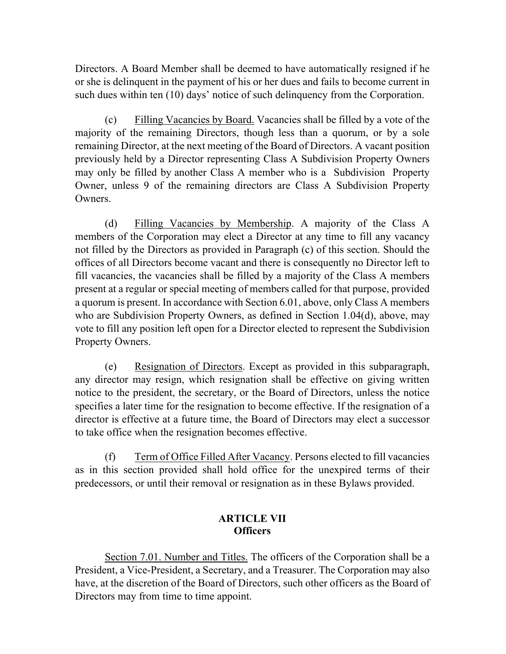Directors. A Board Member shall be deemed to have automatically resigned if he or she is delinquent in the payment of his or her dues and fails to become current in such dues within ten (10) days' notice of such delinquency from the Corporation.

(c) Filling Vacancies by Board. Vacancies shall be filled by a vote of the majority of the remaining Directors, though less than a quorum, or by a sole remaining Director, at the next meeting of the Board of Directors. A vacant position previously held by a Director representing Class A Subdivision Property Owners may only be filled by another Class A member who is a Subdivision Property Owner, unless 9 of the remaining directors are Class A Subdivision Property Owners.

(d) Filling Vacancies by Membership. A majority of the Class A members of the Corporation may elect a Director at any time to fill any vacancy not filled by the Directors as provided in Paragraph (c) of this section. Should the offices of all Directors become vacant and there is consequently no Director left to fill vacancies, the vacancies shall be filled by a majority of the Class A members present at a regular or special meeting of members called for that purpose, provided a quorum is present. In accordance with Section 6.01, above, only Class A members who are Subdivision Property Owners, as defined in Section 1.04(d), above, may vote to fill any position left open for a Director elected to represent the Subdivision Property Owners.

(e) Resignation of Directors. Except as provided in this subparagraph, any director may resign, which resignation shall be effective on giving written notice to the president, the secretary, or the Board of Directors, unless the notice specifies a later time for the resignation to become effective. If the resignation of a director is effective at a future time, the Board of Directors may elect a successor to take office when the resignation becomes effective.

(f) Term of Office Filled After Vacancy. Persons elected to fill vacancies as in this section provided shall hold office for the unexpired terms of their predecessors, or until their removal or resignation as in these Bylaws provided.

## **ARTICLE VII Officers**

Section 7.01. Number and Titles. The officers of the Corporation shall be a President, a Vice-President, a Secretary, and a Treasurer. The Corporation may also have, at the discretion of the Board of Directors, such other officers as the Board of Directors may from time to time appoint.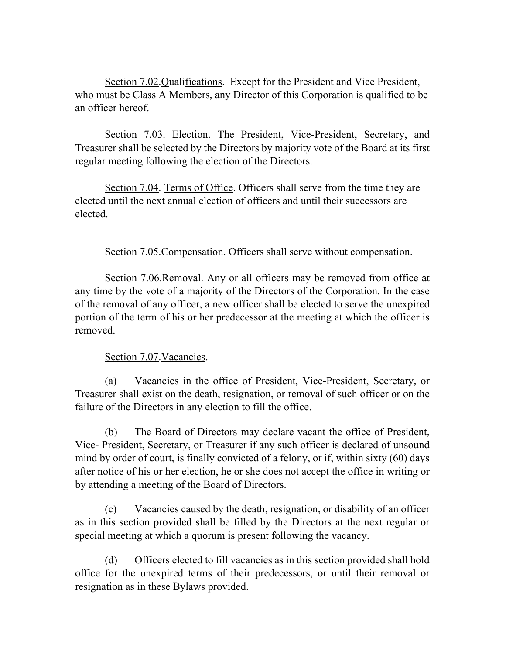Section 7.02.Qualifications. Except for the President and Vice President, who must be Class A Members, any Director of this Corporation is qualified to be an officer hereof.

Section 7.03. Election. The President, Vice-President, Secretary, and Treasurer shall be selected by the Directors by majority vote of the Board at its first regular meeting following the election of the Directors.

Section 7.04. Terms of Office. Officers shall serve from the time they are elected until the next annual election of officers and until their successors are elected.

Section 7.05.Compensation. Officers shall serve without compensation.

Section 7.06.Removal. Any or all officers may be removed from office at any time by the vote of a majority of the Directors of the Corporation. In the case of the removal of any officer, a new officer shall be elected to serve the unexpired portion of the term of his or her predecessor at the meeting at which the officer is removed.

### Section 7.07. Vacancies.

(a) Vacancies in the office of President, Vice-President, Secretary, or Treasurer shall exist on the death, resignation, or removal of such officer or on the failure of the Directors in any election to fill the office.

(b) The Board of Directors may declare vacant the office of President, Vice- President, Secretary, or Treasurer if any such officer is declared of unsound mind by order of court, is finally convicted of a felony, or if, within sixty (60) days after notice of his or her election, he or she does not accept the office in writing or by attending a meeting of the Board of Directors.

(c) Vacancies caused by the death, resignation, or disability of an officer as in this section provided shall be filled by the Directors at the next regular or special meeting at which a quorum is present following the vacancy.

(d) Officers elected to fill vacancies as in this section provided shall hold office for the unexpired terms of their predecessors, or until their removal or resignation as in these Bylaws provided.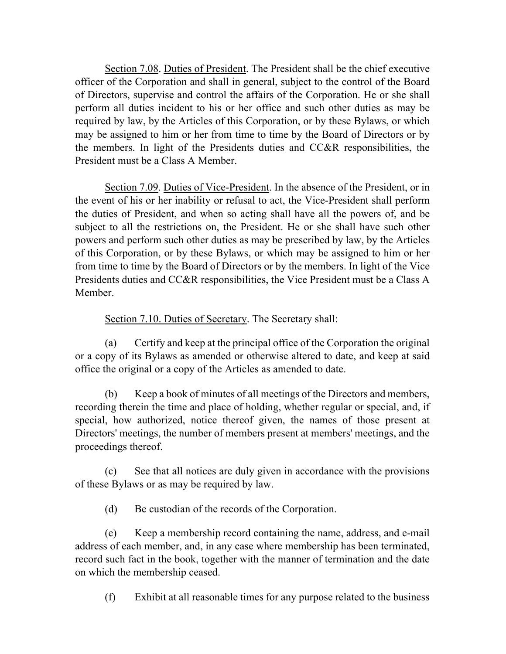Section 7.08. Duties of President. The President shall be the chief executive officer of the Corporation and shall in general, subject to the control of the Board of Directors, supervise and control the affairs of the Corporation. He or she shall perform all duties incident to his or her office and such other duties as may be required by law, by the Articles of this Corporation, or by these Bylaws, or which may be assigned to him or her from time to time by the Board of Directors or by the members. In light of the Presidents duties and CC&R responsibilities, the President must be a Class A Member.

Section 7.09. Duties of Vice-President. In the absence of the President, or in the event of his or her inability or refusal to act, the Vice-President shall perform the duties of President, and when so acting shall have all the powers of, and be subject to all the restrictions on, the President. He or she shall have such other powers and perform such other duties as may be prescribed by law, by the Articles of this Corporation, or by these Bylaws, or which may be assigned to him or her from time to time by the Board of Directors or by the members. In light of the Vice Presidents duties and CC&R responsibilities, the Vice President must be a Class A Member.

## Section 7.10. Duties of Secretary. The Secretary shall:

(a) Certify and keep at the principal office of the Corporation the original or a copy of its Bylaws as amended or otherwise altered to date, and keep at said office the original or a copy of the Articles as amended to date.

(b) Keep a book of minutes of all meetings of the Directors and members, recording therein the time and place of holding, whether regular or special, and, if special, how authorized, notice thereof given, the names of those present at Directors' meetings, the number of members present at members' meetings, and the proceedings thereof.

(c) See that all notices are duly given in accordance with the provisions of these Bylaws or as may be required by law.

(d) Be custodian of the records of the Corporation.

(e) Keep a membership record containing the name, address, and e-mail address of each member, and, in any case where membership has been terminated, record such fact in the book, together with the manner of termination and the date on which the membership ceased.

(f) Exhibit at all reasonable times for any purpose related to the business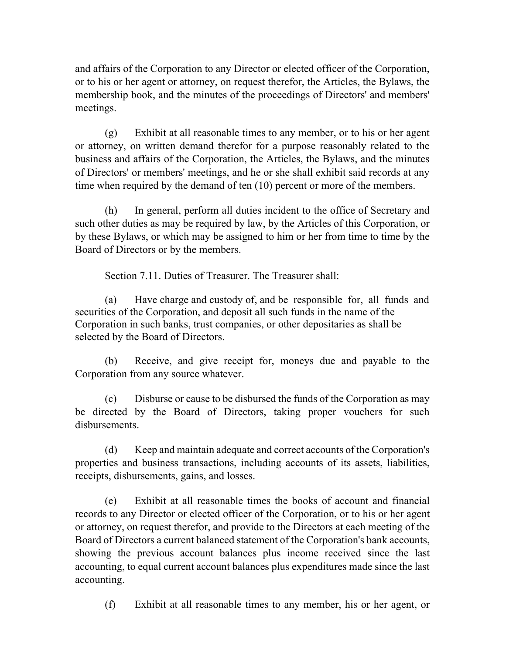and affairs of the Corporation to any Director or elected officer of the Corporation, or to his or her agent or attorney, on request therefor, the Articles, the Bylaws, the membership book, and the minutes of the proceedings of Directors' and members' meetings.

(g) Exhibit at all reasonable times to any member, or to his or her agent or attorney, on written demand therefor for a purpose reasonably related to the business and affairs of the Corporation, the Articles, the Bylaws, and the minutes of Directors' or members' meetings, and he or she shall exhibit said records at any time when required by the demand of ten (10) percent or more of the members.

(h) In general, perform all duties incident to the office of Secretary and such other duties as may be required by law, by the Articles of this Corporation, or by these Bylaws, or which may be assigned to him or her from time to time by the Board of Directors or by the members.

Section 7.11. Duties of Treasurer. The Treasurer shall:

(a) Have charge and custody of, and be responsible for, all funds and securities of the Corporation, and deposit all such funds in the name of the Corporation in such banks, trust companies, or other depositaries as shall be selected by the Board of Directors.

(b) Receive, and give receipt for, moneys due and payable to the Corporation from any source whatever.

(c) Disburse or cause to be disbursed the funds of the Corporation as may be directed by the Board of Directors, taking proper vouchers for such disbursements.

(d) Keep and maintain adequate and correct accounts of the Corporation's properties and business transactions, including accounts of its assets, liabilities, receipts, disbursements, gains, and losses.

(e) Exhibit at all reasonable times the books of account and financial records to any Director or elected officer of the Corporation, or to his or her agent or attorney, on request therefor, and provide to the Directors at each meeting of the Board of Directors a current balanced statement of the Corporation's bank accounts, showing the previous account balances plus income received since the last accounting, to equal current account balances plus expenditures made since the last accounting.

(f) Exhibit at all reasonable times to any member, his or her agent, or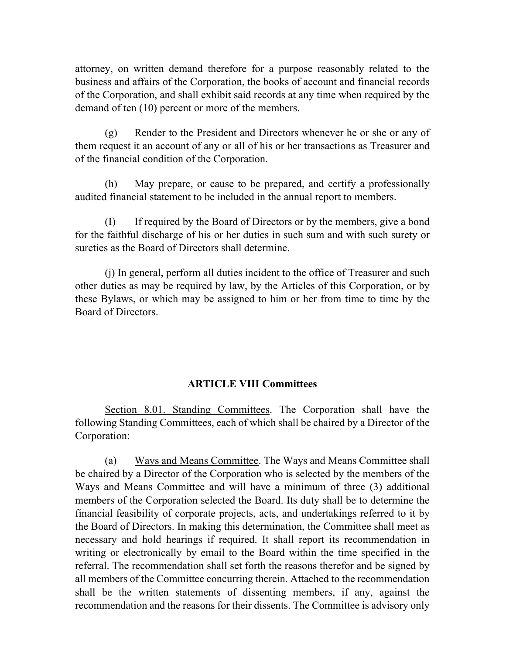attorney, on written demand therefore for a purpose reasonably related to the business and affairs of the Corporation, the books of account and financial records of the Corporation, and shall exhibit said records at any time when required by the demand of ten (10) percent or more of the members.

(g) Render to the President and Directors whenever he or she or any of them request it an account of any or all of his or her transactions as Treasurer and of the financial condition of the Corporation.

(h) May prepare, or cause to be prepared, and certify a professionally audited financial statement to be included in the annual report to members.

(I) If required by the Board of Directors or by the members, give a bond for the faithful discharge of his or her duties in such sum and with such surety or sureties as the Board of Directors shall determine.

(j) In general, perform all duties incident to the office of Treasurer and such other duties as may be required by law, by the Articles of this Corporation, or by these Bylaws, or which may be assigned to him or her from time to time by the Board of Directors.

### **ARTICLE VIII Committees**

Section 8.01. Standing Committees. The Corporation shall have the following Standing Committees, each of which shall be chaired by a Director of the Corporation:

(a) Ways and Means Committee. The Ways and Means Committee shall be chaired by a Director of the Corporation who is selected by the members of the Ways and Means Committee and will have a minimum of three (3) additional members of the Corporation selected the Board. Its duty shall be to determine the financial feasibility of corporate projects, acts, and undertakings referred to it by the Board of Directors. In making this determination, the Committee shall meet as necessary and hold hearings if required. It shall report its recommendation in writing or electronically by email to the Board within the time specified in the referral. The recommendation shall set forth the reasons therefor and be signed by all members of the Committee concurring therein. Attached to the recommendation shall be the written statements of dissenting members, if any, against the recommendation and the reasons for their dissents. The Committee is advisory only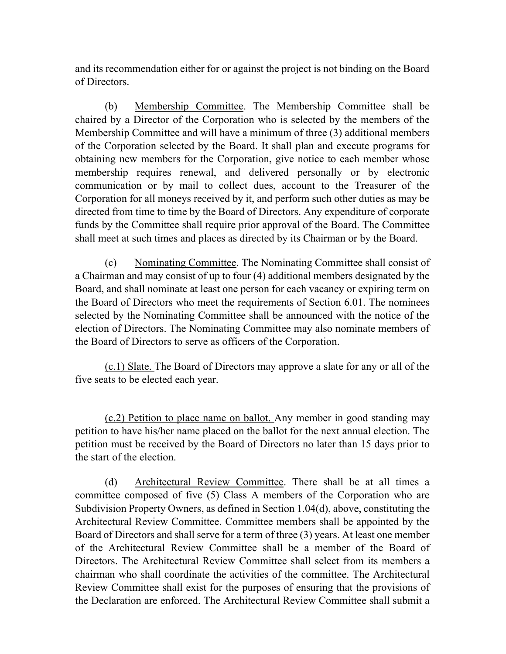and its recommendation either for or against the project is not binding on the Board of Directors.

(b) Membership Committee. The Membership Committee shall be chaired by a Director of the Corporation who is selected by the members of the Membership Committee and will have a minimum of three (3) additional members of the Corporation selected by the Board. It shall plan and execute programs for obtaining new members for the Corporation, give notice to each member whose membership requires renewal, and delivered personally or by electronic communication or by mail to collect dues, account to the Treasurer of the Corporation for all moneys received by it, and perform such other duties as may be directed from time to time by the Board of Directors. Any expenditure of corporate funds by the Committee shall require prior approval of the Board. The Committee shall meet at such times and places as directed by its Chairman or by the Board.

(c) Nominating Committee. The Nominating Committee shall consist of a Chairman and may consist of up to four (4) additional members designated by the Board, and shall nominate at least one person for each vacancy or expiring term on the Board of Directors who meet the requirements of Section 6.01. The nominees selected by the Nominating Committee shall be announced with the notice of the election of Directors. The Nominating Committee may also nominate members of the Board of Directors to serve as officers of the Corporation.

(c.1) Slate. The Board of Directors may approve a slate for any or all of the five seats to be elected each year.

(c.2) Petition to place name on ballot. Any member in good standing may petition to have his/her name placed on the ballot for the next annual election. The petition must be received by the Board of Directors no later than 15 days prior to the start of the election.

(d) Architectural Review Committee. There shall be at all times a committee composed of five (5) Class A members of the Corporation who are Subdivision Property Owners, as defined in Section 1.04(d), above, constituting the Architectural Review Committee. Committee members shall be appointed by the Board of Directors and shall serve for a term of three (3) years. At least one member of the Architectural Review Committee shall be a member of the Board of Directors. The Architectural Review Committee shall select from its members a chairman who shall coordinate the activities of the committee. The Architectural Review Committee shall exist for the purposes of ensuring that the provisions of the Declaration are enforced. The Architectural Review Committee shall submit a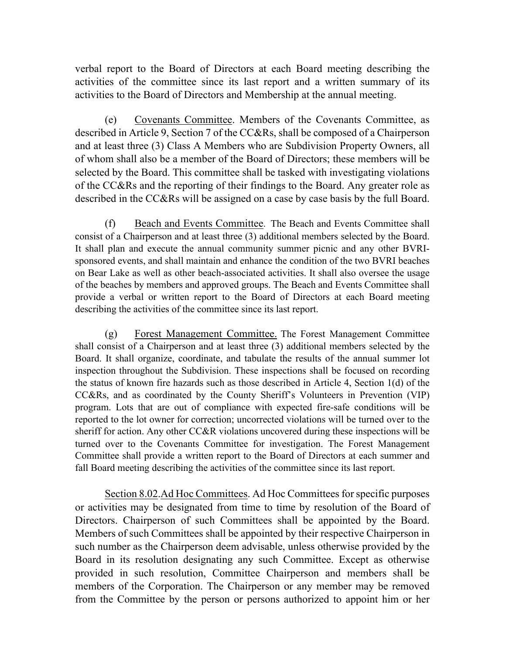verbal report to the Board of Directors at each Board meeting describing the activities of the committee since its last report and a written summary of its activities to the Board of Directors and Membership at the annual meeting.

(e) Covenants Committee. Members of the Covenants Committee, as described in Article 9, Section 7 of the CC&Rs, shall be composed of a Chairperson and at least three (3) Class A Members who are Subdivision Property Owners, all of whom shall also be a member of the Board of Directors; these members will be selected by the Board. This committee shall be tasked with investigating violations of the CC&Rs and the reporting of their findings to the Board. Any greater role as described in the CC&Rs will be assigned on a case by case basis by the full Board.

(f) Beach and Events Committee. The Beach and Events Committee shall consist of a Chairperson and at least three (3) additional members selected by the Board. It shall plan and execute the annual community summer picnic and any other BVRIsponsored events, and shall maintain and enhance the condition of the two BVRI beaches on Bear Lake as well as other beach-associated activities. It shall also oversee the usage of the beaches by members and approved groups. The Beach and Events Committee shall provide a verbal or written report to the Board of Directors at each Board meeting describing the activities of the committee since its last report.

(g) Forest Management Committee. The Forest Management Committee shall consist of a Chairperson and at least three (3) additional members selected by the Board. It shall organize, coordinate, and tabulate the results of the annual summer lot inspection throughout the Subdivision. These inspections shall be focused on recording the status of known fire hazards such as those described in Article 4, Section 1(d) of the CC&Rs, and as coordinated by the County Sheriff's Volunteers in Prevention (VIP) program. Lots that are out of compliance with expected fire-safe conditions will be reported to the lot owner for correction; uncorrected violations will be turned over to the sheriff for action. Any other CC&R violations uncovered during these inspections will be turned over to the Covenants Committee for investigation. The Forest Management Committee shall provide a written report to the Board of Directors at each summer and fall Board meeting describing the activities of the committee since its last report.

Section 8.02.Ad Hoc Committees. Ad Hoc Committees for specific purposes or activities may be designated from time to time by resolution of the Board of Directors. Chairperson of such Committees shall be appointed by the Board. Members of such Committees shall be appointed by their respective Chairperson in such number as the Chairperson deem advisable, unless otherwise provided by the Board in its resolution designating any such Committee. Except as otherwise provided in such resolution, Committee Chairperson and members shall be members of the Corporation. The Chairperson or any member may be removed from the Committee by the person or persons authorized to appoint him or her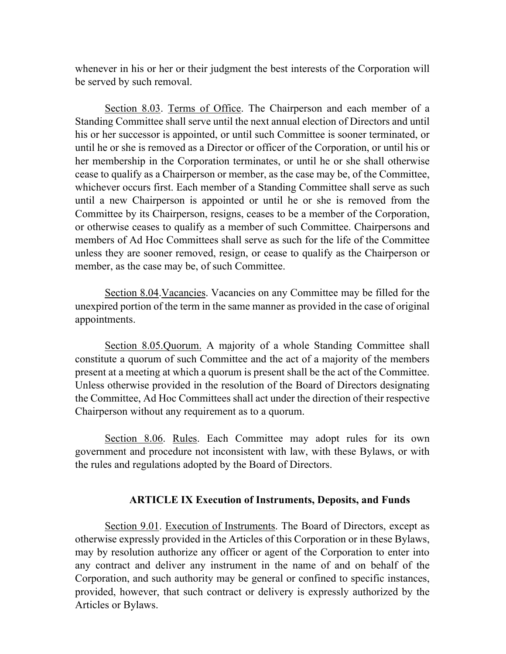whenever in his or her or their judgment the best interests of the Corporation will be served by such removal.

Section 8.03. Terms of Office. The Chairperson and each member of a Standing Committee shall serve until the next annual election of Directors and until his or her successor is appointed, or until such Committee is sooner terminated, or until he or she is removed as a Director or officer of the Corporation, or until his or her membership in the Corporation terminates, or until he or she shall otherwise cease to qualify as a Chairperson or member, as the case may be, of the Committee, whichever occurs first. Each member of a Standing Committee shall serve as such until a new Chairperson is appointed or until he or she is removed from the Committee by its Chairperson, resigns, ceases to be a member of the Corporation, or otherwise ceases to qualify as a member of such Committee. Chairpersons and members of Ad Hoc Committees shall serve as such for the life of the Committee unless they are sooner removed, resign, or cease to qualify as the Chairperson or member, as the case may be, of such Committee.

Section 8.04.Vacancies. Vacancies on any Committee may be filled for the unexpired portion of the term in the same manner as provided in the case of original appointments.

Section 8.05.Quorum. A majority of a whole Standing Committee shall constitute a quorum of such Committee and the act of a majority of the members present at a meeting at which a quorum is present shall be the act of the Committee. Unless otherwise provided in the resolution of the Board of Directors designating the Committee, Ad Hoc Committees shall act under the direction of their respective Chairperson without any requirement as to a quorum.

Section 8.06. Rules. Each Committee may adopt rules for its own government and procedure not inconsistent with law, with these Bylaws, or with the rules and regulations adopted by the Board of Directors.

#### **ARTICLE IX Execution of Instruments, Deposits, and Funds**

Section 9.01. Execution of Instruments. The Board of Directors, except as otherwise expressly provided in the Articles of this Corporation or in these Bylaws, may by resolution authorize any officer or agent of the Corporation to enter into any contract and deliver any instrument in the name of and on behalf of the Corporation, and such authority may be general or confined to specific instances, provided, however, that such contract or delivery is expressly authorized by the Articles or Bylaws.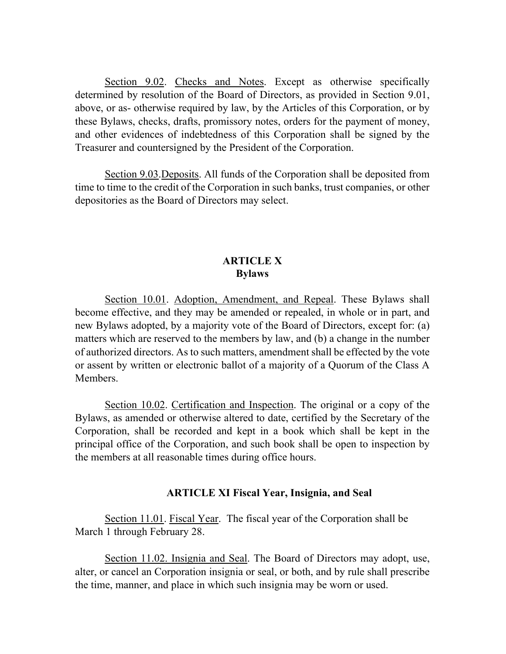Section 9.02. Checks and Notes. Except as otherwise specifically determined by resolution of the Board of Directors, as provided in Section 9.01, above, or as- otherwise required by law, by the Articles of this Corporation, or by these Bylaws, checks, drafts, promissory notes, orders for the payment of money, and other evidences of indebtedness of this Corporation shall be signed by the Treasurer and countersigned by the President of the Corporation.

Section 9.03.Deposits. All funds of the Corporation shall be deposited from time to time to the credit of the Corporation in such banks, trust companies, or other depositories as the Board of Directors may select.

### **ARTICLE X Bylaws**

Section 10.01. Adoption, Amendment, and Repeal. These Bylaws shall become effective, and they may be amended or repealed, in whole or in part, and new Bylaws adopted, by a majority vote of the Board of Directors, except for: (a) matters which are reserved to the members by law, and (b) a change in the number of authorized directors. As to such matters, amendment shall be effected by the vote or assent by written or electronic ballot of a majority of a Quorum of the Class A Members.

Section 10.02. Certification and Inspection. The original or a copy of the Bylaws, as amended or otherwise altered to date, certified by the Secretary of the Corporation, shall be recorded and kept in a book which shall be kept in the principal office of the Corporation, and such book shall be open to inspection by the members at all reasonable times during office hours.

#### **ARTICLE XI Fiscal Year, Insignia, and Seal**

Section 11.01. Fiscal Year. The fiscal year of the Corporation shall be March 1 through February 28.

Section 11.02. Insignia and Seal. The Board of Directors may adopt, use, alter, or cancel an Corporation insignia or seal, or both, and by rule shall prescribe the time, manner, and place in which such insignia may be worn or used.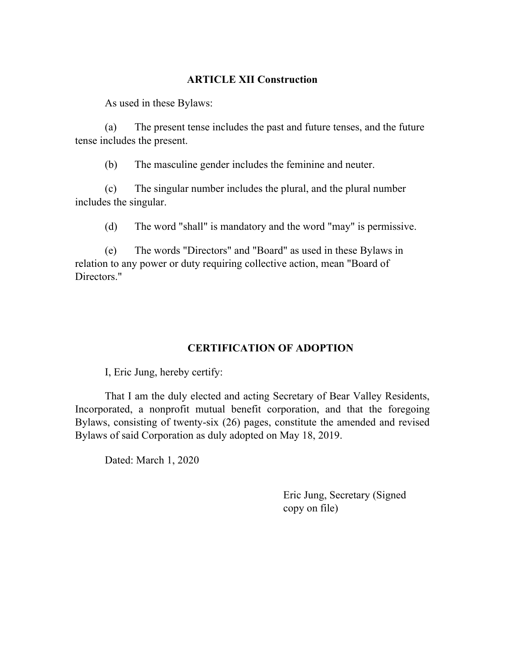## **ARTICLE XII Construction**

As used in these Bylaws:

(a) The present tense includes the past and future tenses, and the future tense includes the present.

(b) The masculine gender includes the feminine and neuter.

(c) The singular number includes the plural, and the plural number includes the singular.

(d) The word "shall" is mandatory and the word "may" is permissive.

(e) The words "Directors" and "Board" as used in these Bylaws in relation to any power or duty requiring collective action, mean "Board of Directors."

## **CERTIFICATION OF ADOPTION**

I, Eric Jung, hereby certify:

That I am the duly elected and acting Secretary of Bear Valley Residents, Incorporated, a nonprofit mutual benefit corporation, and that the foregoing Bylaws, consisting of twenty-six (26) pages, constitute the amended and revised Bylaws of said Corporation as duly adopted on May 18, 2019.

Dated: March 1, 2020

Eric Jung, Secretary (Signed copy on file)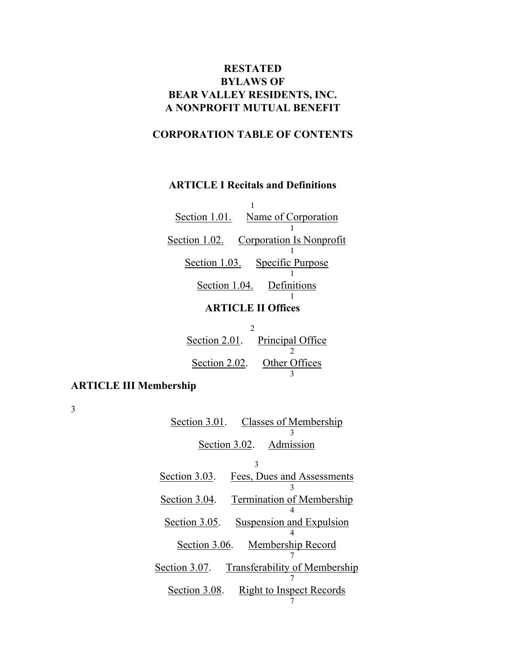# **RESTATED BYLAWS OF BEAR VALLEY RESIDENTS, INC. A NONPROFIT MUTUAL BENEFIT**

## **CORPORATION TABLE OF CONTENTS**

#### **ARTICLE I Recitals and Definitions**

1 Section 1.01. Name of Corporation 1 Section 1.02. Corporation Is Nonprofit 1 Section 1.03. Specific Purpose 1 Section 1.04. Definitions 1 **ARTICLE II Offices**

| Section 2.01. Principal Office |
|--------------------------------|
|                                |
| Section 2.02. Other Offices    |
|                                |

# **ARTICLE III Membership**

3

| Section 3.01. Classes of Membership                   |
|-------------------------------------------------------|
|                                                       |
| Section 3.02. Admission                               |
| 3                                                     |
| Section 3.03.<br>Fees, Dues and Assessments           |
| <b>Termination of Membership</b><br>Section 3.04.     |
| Section 3.05.<br><b>Suspension and Expulsion</b>      |
| Section 3.06. Membership Record                       |
| Section 3.07.<br><b>Transferability of Membership</b> |
| Section 3.08. Right to Inspect Records                |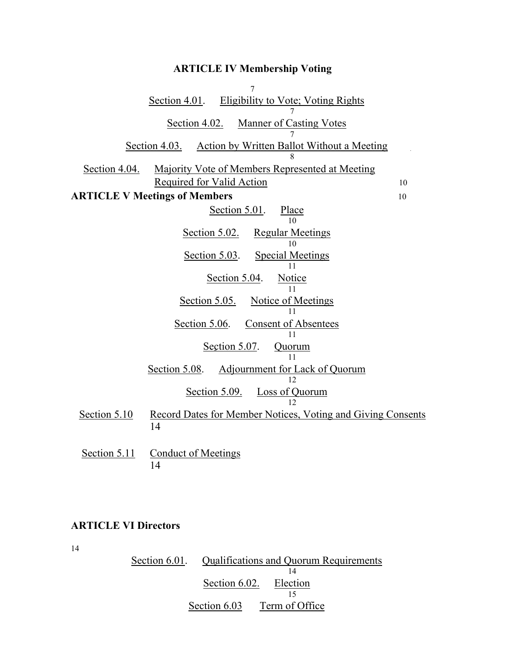#### **ARTICLE IV Membership Voting**

7 Section 4.01. Eligibility to Vote; Voting Rights 7 Section 4.02. Manner of Casting Votes 7 Section 4.03. Action by Written Ballot Without a Meeting 8 Section 4.04. Majority Vote of Members Represented at Meeting Required for Valid Action 10 **ARTICLE V Meetings of Members** 10 Section 5.01. Place 10 Section 5.02. Regular Meetings 10 Section 5.03. Special Meetings 11 Section 5.04. Notice 11 Section 5.05. Notice of Meetings 11 Section 5.06. Consent of Absentees 11 Section 5.07. Quorum 11 Section 5.08. Adjournment for Lack of Quorum 12 Section 5.09. Loss of Quorum 12 Section 5.10 Record Dates for Member Notices, Voting and Giving Consents 14 Section 5.11 Conduct of Meetings 14

#### **ARTICLE VI Directors**

14

Section 6.01. Qualifications and Quorum Requirements 14 Section 6.02. Election 15 Section 6.03 Term of Office